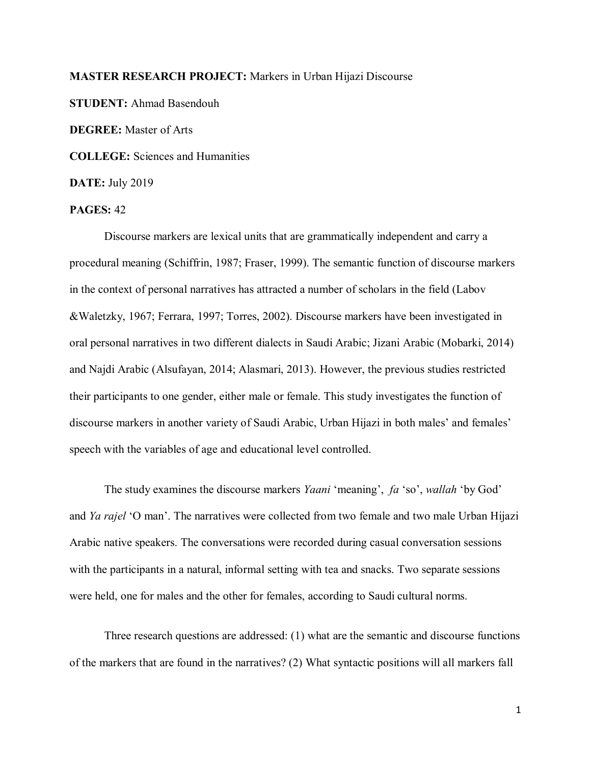## **MASTER RESEARCH PROJECT:** Markers in Urban Hijazi Discourse

**STUDENT:** Ahmad Basendouh

**DEGREE:** Master of Arts

**COLLEGE:** Sciences and Humanities

**DATE:** July 2019

## **PAGES:** 42

Discourse markers are lexical units that are grammatically independent and carry a procedural meaning (Schiffrin, 1987; Fraser, 1999). The semantic function of discourse markers in the context of personal narratives has attracted a number of scholars in the field (Labov &Waletzky, 1967; Ferrara, 1997; Torres, 2002). Discourse markers have been investigated in oral personal narratives in two different dialects in Saudi Arabic; Jizani Arabic (Mobarki, 2014) and Najdi Arabic (Alsufayan, 2014; Alasmari, 2013). However, the previous studies restricted their participants to one gender, either male or female. This study investigates the function of discourse markers in another variety of Saudi Arabic, Urban Hijazi in both males' and females' speech with the variables of age and educational level controlled.

The study examines the discourse markers *Yaani* 'meaning', *fa* 'so', *wallah* 'by God' and *Ya rajel* 'O man'. The narratives were collected from two female and two male Urban Hijazi Arabic native speakers. The conversations were recorded during casual conversation sessions with the participants in a natural, informal setting with tea and snacks. Two separate sessions were held, one for males and the other for females, according to Saudi cultural norms.

Three research questions are addressed: (1) what are the semantic and discourse functions of the markers that are found in the narratives? (2) What syntactic positions will all markers fall